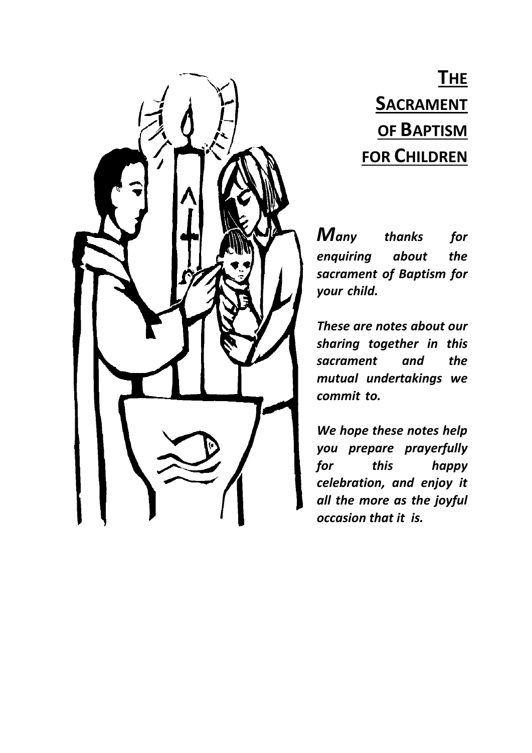## **THE SACRAMENT OF BAPTISM FOR CHILDREN**

*Many thanks for enquiring about the sacrament of Baptism for your child.*

*These are notes about our sharing together in this sacrament and the mutual undertakings we commit to.*

*We hope these notes help you prepare prayerfully for this happy celebration, and enjoy it all the more as the joyful occasion that it is.*

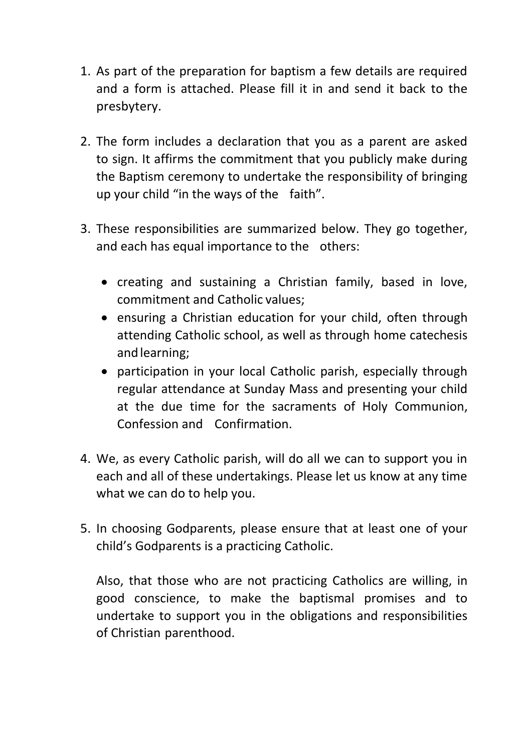- 1. As part of the preparation for baptism a few details are required and a form is attached. Please fill it in and send it back to the presbytery.
- 2. The form includes a declaration that you as a parent are asked to sign. It affirms the commitment that you publicly make during the Baptism ceremony to undertake the responsibility of bringing up your child "in the ways of the faith".
- 3. These responsibilities are summarized below. They go together, and each has equal importance to the others:
	- creating and sustaining a Christian family, based in love, commitment and Catholic values;
	- ensuring a Christian education for your child, often through attending Catholic school, as well as through home catechesis andlearning;
	- participation in your local Catholic parish, especially through regular attendance at Sunday Mass and presenting your child at the due time for the sacraments of Holy Communion, Confession and Confirmation.
- 4. We, as every Catholic parish, will do all we can to support you in each and all of these undertakings. Please let us know at any time what we can do to help you.
- 5. In choosing Godparents, please ensure that at least one of your child's Godparents is a practicing Catholic.

Also, that those who are not practicing Catholics are willing, in good conscience, to make the baptismal promises and to undertake to support you in the obligations and responsibilities of Christian parenthood.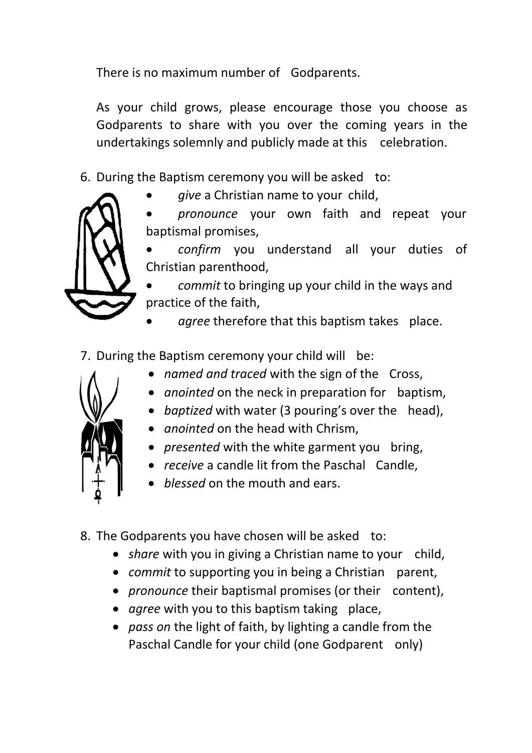There is no maximum number of Godparents.

As your child grows, please encourage those you choose as Godparents to share with you over the coming years in the undertakings solemnly and publicly made at this celebration.

- 6. During the Baptism ceremony you will be asked to:
	- *give* a Christian name to your child,
	- *pronounce* your own faith and repeat your baptismal promises,
	- *confirm* you understand all your duties of Christian parenthood,

 *commit* to bringing up your child in the ways and practice of the faith,

- *agree* therefore that this baptism takes place.
- 7. During the Baptism ceremony your child will be:
	- *named and traced* with the sign of the Cross,
	- *anointed* on the neck in preparation for baptism,
	- *baptized* with water (3 pouring's over the head),
	- *anointed* on the head with Chrism,
	- *presented* with the white garment you bring,
	- *receive* a candle lit from the Paschal Candle,
	- *blessed* on the mouth and ears.
- 8. The Godparents you have chosen will be asked to:
	- *share* with you in giving a Christian name to your child,
	- *commit* to supporting you in being a Christian parent,
	- *pronounce* their baptismal promises (or their content),
	- *agree* with you to this baptism taking place,
	- *pass on* the light of faith, by lighting a candle from the Paschal Candle for your child (one Godparent only)